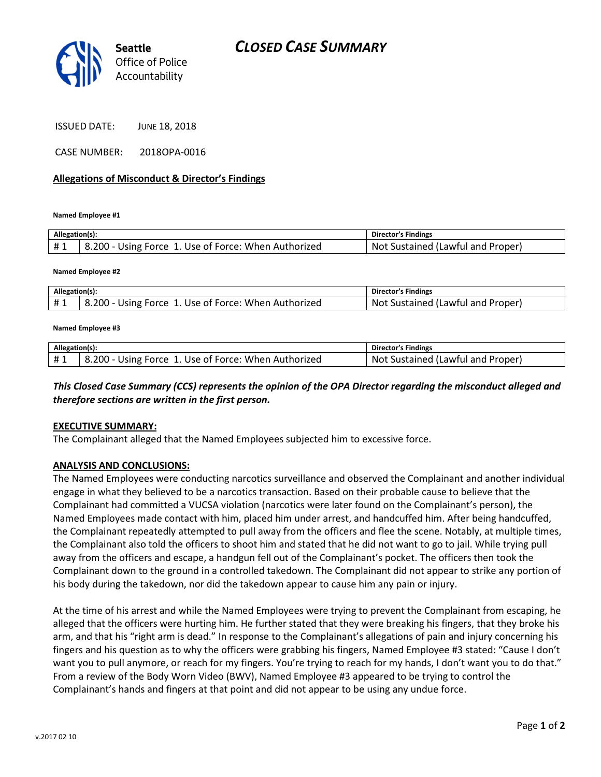

ISSUED DATE: JUNE 18, 2018

CASE NUMBER: 2018OPA-0016

### Allegations of Misconduct & Director's Findings

Named Employee #1

| Allegation(s): |                                                      | <b>Director's Findings</b>              |
|----------------|------------------------------------------------------|-----------------------------------------|
| #1             | 8.200 - Using Force 1. Use of Force: When Authorized | t Sustained (Lawful and Proper)<br>Not. |

Named Employee #2

| Allegation(s): |                                                      | <b>Director's Findings</b>        |
|----------------|------------------------------------------------------|-----------------------------------|
|                | B.200 - Using Force 1. Use of Force: When Authorized | Not Sustained (Lawful and Proper) |

#### Named Employee #3

| Allegation(s): |                                                           | <b>Director's Findings</b>        |
|----------------|-----------------------------------------------------------|-----------------------------------|
|                | #1   8.200 - Using Force 1. Use of Force: When Authorized | Not Sustained (Lawful and Proper) |

## This Closed Case Summary (CCS) represents the opinion of the OPA Director regarding the misconduct alleged and therefore sections are written in the first person.

#### EXECUTIVE SUMMARY:

The Complainant alleged that the Named Employees subjected him to excessive force.

#### ANALYSIS AND CONCLUSIONS:

The Named Employees were conducting narcotics surveillance and observed the Complainant and another individual engage in what they believed to be a narcotics transaction. Based on their probable cause to believe that the Complainant had committed a VUCSA violation (narcotics were later found on the Complainant's person), the Named Employees made contact with him, placed him under arrest, and handcuffed him. After being handcuffed, the Complainant repeatedly attempted to pull away from the officers and flee the scene. Notably, at multiple times, the Complainant also told the officers to shoot him and stated that he did not want to go to jail. While trying pull away from the officers and escape, a handgun fell out of the Complainant's pocket. The officers then took the Complainant down to the ground in a controlled takedown. The Complainant did not appear to strike any portion of his body during the takedown, nor did the takedown appear to cause him any pain or injury.

At the time of his arrest and while the Named Employees were trying to prevent the Complainant from escaping, he alleged that the officers were hurting him. He further stated that they were breaking his fingers, that they broke his arm, and that his "right arm is dead." In response to the Complainant's allegations of pain and injury concerning his fingers and his question as to why the officers were grabbing his fingers, Named Employee #3 stated: "Cause I don't want you to pull anymore, or reach for my fingers. You're trying to reach for my hands, I don't want you to do that." From a review of the Body Worn Video (BWV), Named Employee #3 appeared to be trying to control the Complainant's hands and fingers at that point and did not appear to be using any undue force.